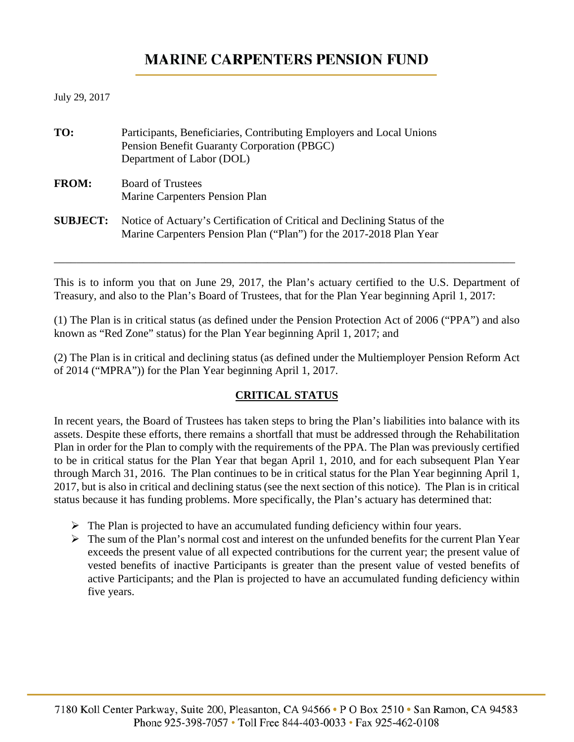# **MARINE CARPENTERS PENSION FUND**

#### July 29, 2017

| TO:             | Participants, Beneficiaries, Contributing Employers and Local Unions<br>Pension Benefit Guaranty Corporation (PBGC)<br>Department of Labor (DOL) |
|-----------------|--------------------------------------------------------------------------------------------------------------------------------------------------|
| <b>FROM:</b>    | <b>Board of Trustees</b><br>Marine Carpenters Pension Plan                                                                                       |
| <b>SUBJECT:</b> | Notice of Actuary's Certification of Critical and Declining Status of the<br>Marine Carpenters Pension Plan ("Plan") for the 2017-2018 Plan Year |

This is to inform you that on June 29, 2017, the Plan's actuary certified to the U.S. Department of Treasury, and also to the Plan's Board of Trustees, that for the Plan Year beginning April 1, 2017:

\_\_\_\_\_\_\_\_\_\_\_\_\_\_\_\_\_\_\_\_\_\_\_\_\_\_\_\_\_\_\_\_\_\_\_\_\_\_\_\_\_\_\_\_\_\_\_\_\_\_\_\_\_\_\_\_\_\_\_\_\_\_\_\_\_\_\_\_\_\_\_\_\_\_\_\_\_\_\_\_\_\_

(1) The Plan is in critical status (as defined under the Pension Protection Act of 2006 ("PPA") and also known as "Red Zone" status) for the Plan Year beginning April 1, 2017; and

(2) The Plan is in critical and declining status (as defined under the Multiemployer Pension Reform Act of 2014 ("MPRA")) for the Plan Year beginning April 1, 2017.

## **CRITICAL STATUS**

In recent years, the Board of Trustees has taken steps to bring the Plan's liabilities into balance with its assets. Despite these efforts, there remains a shortfall that must be addressed through the Rehabilitation Plan in order for the Plan to comply with the requirements of the PPA. The Plan was previously certified to be in critical status for the Plan Year that began April 1, 2010, and for each subsequent Plan Year through March 31, 2016. The Plan continues to be in critical status for the Plan Year beginning April 1, 2017, but is also in critical and declining status (see the next section of this notice). The Plan is in critical status because it has funding problems. More specifically, the Plan's actuary has determined that:

- $\triangleright$  The Plan is projected to have an accumulated funding deficiency within four years.
- $\triangleright$  The sum of the Plan's normal cost and interest on the unfunded benefits for the current Plan Year exceeds the present value of all expected contributions for the current year; the present value of vested benefits of inactive Participants is greater than the present value of vested benefits of active Participants; and the Plan is projected to have an accumulated funding deficiency within five years.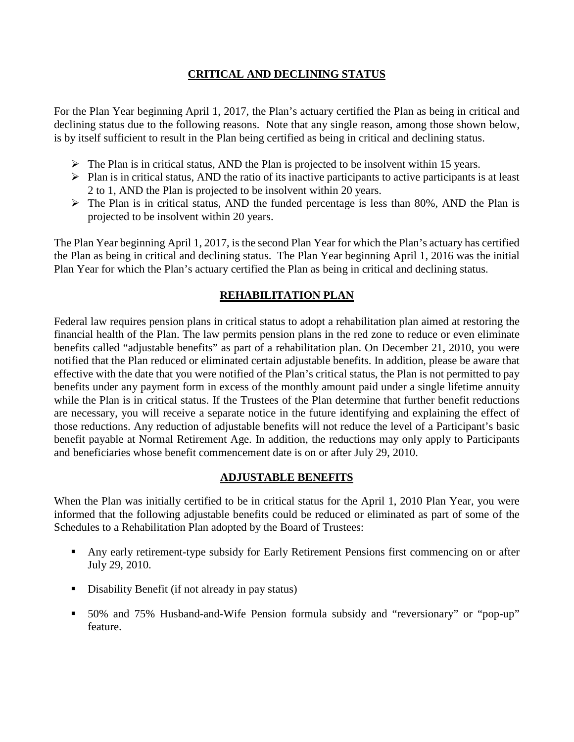# **CRITICAL AND DECLINING STATUS**

For the Plan Year beginning April 1, 2017, the Plan's actuary certified the Plan as being in critical and declining status due to the following reasons. Note that any single reason, among those shown below, is by itself sufficient to result in the Plan being certified as being in critical and declining status.

- $\triangleright$  The Plan is in critical status, AND the Plan is projected to be insolvent within 15 years.
- $\triangleright$  Plan is in critical status, AND the ratio of its inactive participants to active participants is at least 2 to 1, AND the Plan is projected to be insolvent within 20 years.
- $\triangleright$  The Plan is in critical status, AND the funded percentage is less than 80%, AND the Plan is projected to be insolvent within 20 years.

The Plan Year beginning April 1, 2017, is the second Plan Year for which the Plan's actuary has certified the Plan as being in critical and declining status. The Plan Year beginning April 1, 2016 was the initial Plan Year for which the Plan's actuary certified the Plan as being in critical and declining status.

# **REHABILITATION PLAN**

Federal law requires pension plans in critical status to adopt a rehabilitation plan aimed at restoring the financial health of the Plan. The law permits pension plans in the red zone to reduce or even eliminate benefits called "adjustable benefits" as part of a rehabilitation plan. On December 21, 2010, you were notified that the Plan reduced or eliminated certain adjustable benefits. In addition, please be aware that effective with the date that you were notified of the Plan's critical status, the Plan is not permitted to pay benefits under any payment form in excess of the monthly amount paid under a single lifetime annuity while the Plan is in critical status. If the Trustees of the Plan determine that further benefit reductions are necessary, you will receive a separate notice in the future identifying and explaining the effect of those reductions. Any reduction of adjustable benefits will not reduce the level of a Participant's basic benefit payable at Normal Retirement Age. In addition, the reductions may only apply to Participants and beneficiaries whose benefit commencement date is on or after July 29, 2010.

## **ADJUSTABLE BENEFITS**

When the Plan was initially certified to be in critical status for the April 1, 2010 Plan Year, you were informed that the following adjustable benefits could be reduced or eliminated as part of some of the Schedules to a Rehabilitation Plan adopted by the Board of Trustees:

- Any early retirement-type subsidy for Early Retirement Pensions first commencing on or after July 29, 2010.
- Disability Benefit (if not already in pay status)
- 50% and 75% Husband-and-Wife Pension formula subsidy and "reversionary" or "pop-up" feature.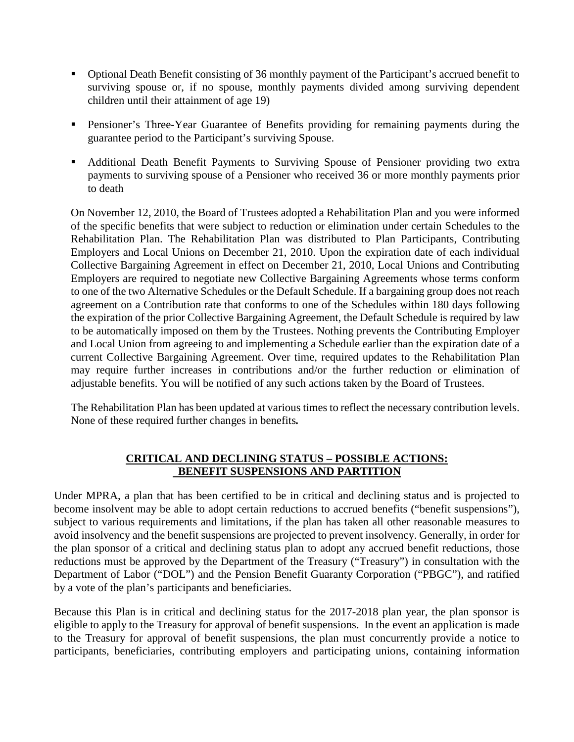- Optional Death Benefit consisting of 36 monthly payment of the Participant's accrued benefit to surviving spouse or, if no spouse, monthly payments divided among surviving dependent children until their attainment of age 19)
- **Pensioner's Three-Year Guarantee of Benefits providing for remaining payments during the** guarantee period to the Participant's surviving Spouse.
- Additional Death Benefit Payments to Surviving Spouse of Pensioner providing two extra payments to surviving spouse of a Pensioner who received 36 or more monthly payments prior to death

On November 12, 2010, the Board of Trustees adopted a Rehabilitation Plan and you were informed of the specific benefits that were subject to reduction or elimination under certain Schedules to the Rehabilitation Plan. The Rehabilitation Plan was distributed to Plan Participants, Contributing Employers and Local Unions on December 21, 2010. Upon the expiration date of each individual Collective Bargaining Agreement in effect on December 21, 2010, Local Unions and Contributing Employers are required to negotiate new Collective Bargaining Agreements whose terms conform to one of the two Alternative Schedules or the Default Schedule. If a bargaining group does not reach agreement on a Contribution rate that conforms to one of the Schedules within 180 days following the expiration of the prior Collective Bargaining Agreement, the Default Schedule is required by law to be automatically imposed on them by the Trustees. Nothing prevents the Contributing Employer and Local Union from agreeing to and implementing a Schedule earlier than the expiration date of a current Collective Bargaining Agreement. Over time, required updates to the Rehabilitation Plan may require further increases in contributions and/or the further reduction or elimination of adjustable benefits. You will be notified of any such actions taken by the Board of Trustees.

The Rehabilitation Plan has been updated at various times to reflect the necessary contribution levels. None of these required further changes in benefits*.* 

# **CRITICAL AND DECLINING STATUS – POSSIBLE ACTIONS: BENEFIT SUSPENSIONS AND PARTITION**

Under MPRA, a plan that has been certified to be in critical and declining status and is projected to become insolvent may be able to adopt certain reductions to accrued benefits ("benefit suspensions"), subject to various requirements and limitations, if the plan has taken all other reasonable measures to avoid insolvency and the benefit suspensions are projected to prevent insolvency. Generally, in order for the plan sponsor of a critical and declining status plan to adopt any accrued benefit reductions, those reductions must be approved by the Department of the Treasury ("Treasury") in consultation with the Department of Labor ("DOL") and the Pension Benefit Guaranty Corporation ("PBGC"), and ratified by a vote of the plan's participants and beneficiaries.

Because this Plan is in critical and declining status for the 2017-2018 plan year, the plan sponsor is eligible to apply to the Treasury for approval of benefit suspensions. In the event an application is made to the Treasury for approval of benefit suspensions, the plan must concurrently provide a notice to participants, beneficiaries, contributing employers and participating unions, containing information